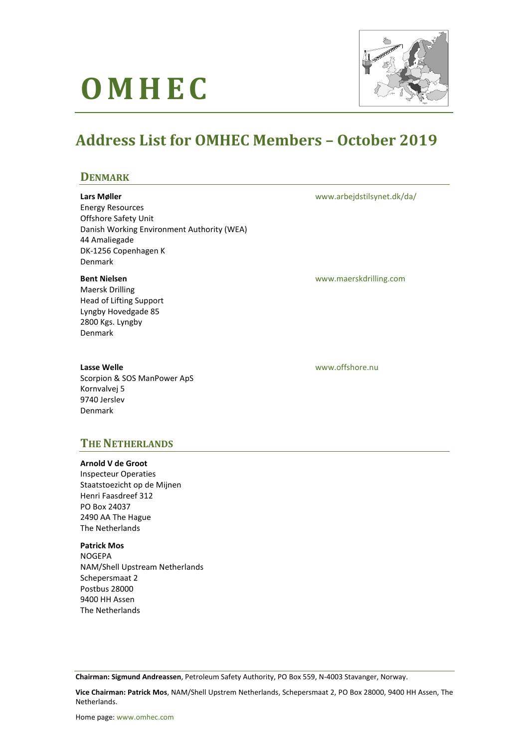# **O M H E C**



# **Address List for OMHEC Members – October 2019**

### **DENMARK**

#### **Lars Møller**

Energy Resources Offshore Safety Unit Danish Working Environment Authority (WEA) 44 Amaliegade DK-1256 Copenhagen K Denmark

#### **Bent Nielsen**

Maersk Drilling Head of Lifting Support Lyngby Hovedgade 85 2800 Kgs. Lyngby Denmark

#### **Lasse Welle**

Scorpion & SOS ManPower ApS Kornvalvej 5 9740 Jerslev Denmark

[www.arbejdstilsynet.dk/da/](http://www.arbejdstilsynet.dk/da/)

[www.maerskdrilling.com](http://www.maerskdrilling.com/)

[www.offshore.nu](http://www.offshore.nu/)

# **THE NETHERLANDS**

#### **Arnold V de Groot**

Inspecteur Operaties Staatstoezicht op de Mijnen Henri Faasdreef 312 PO Box 24037 2490 AA The Hague The Netherlands

**Patrick Mos** NOGEPA NAM/Shell Upstream Netherlands Schepersmaat 2 Postbus 28000 9400 HH Assen The Netherlands

**Chairman: Sigmund Andreassen**, Petroleum Safety Authority, PO Box 559, N-4003 Stavanger, Norway.

**Vice Chairman: Patrick Mos**, NAM/Shell Upstrem Netherlands, Schepersmaat 2, PO Box 28000, 9400 HH Assen, The Netherlands.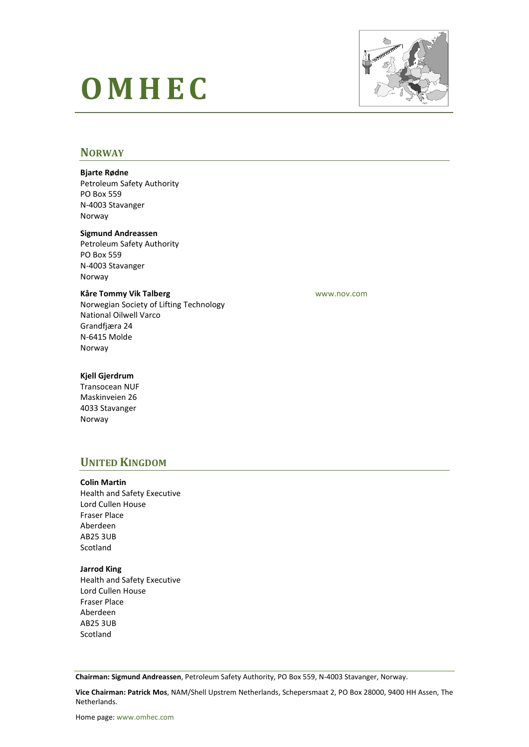# **O M H E C**



### **NORWAY**

#### **Bjarte Rødne**

Petroleum Safety Authority PO Box 559 N-4003 Stavanger Norway

#### **Sigmund Andreassen**

Petroleum Safety Authority PO Box 559 N-4003 Stavanger Norway

#### **Kåre Tommy Vik Talberg**

Norwegian Society of Lifting Technology National Oilwell Varco Grandfjæra 24 N-6415 Molde Norway

[www.nov.com](http://www.nov.com/)

#### **Kjell Gjerdrum**

Transocean NUF Maskinveien 26 4033 Stavanger Norway

# **UNITED KINGDOM**

#### **Colin Martin**

Health and Safety Executive Lord Cullen House Fraser Place Aberdeen AB25 3UB Scotland

#### **Jarrod King**

Health and Safety Executive Lord Cullen House Fraser Place Aberdeen AB25 3UB Scotland

**Chairman: Sigmund Andreassen**, Petroleum Safety Authority, PO Box 559, N-4003 Stavanger, Norway.

**Vice Chairman: Patrick Mos**, NAM/Shell Upstrem Netherlands, Schepersmaat 2, PO Box 28000, 9400 HH Assen, The Netherlands.